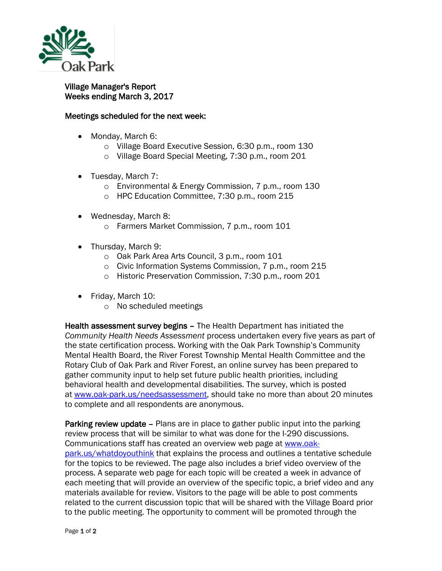

## Village Manager's Report Weeks ending March 3, 2017

## Meetings scheduled for the next week:

- Monday, March 6:
	- o Village Board Executive Session, 6:30 p.m., room 130
	- o Village Board Special Meeting, 7:30 p.m., room 201
- Tuesday, March 7:
	- o Environmental & Energy Commission, 7 p.m., room 130
	- o HPC Education Committee, 7:30 p.m., room 215
- Wednesday, March 8:
	- o Farmers Market Commission, 7 p.m., room 101
- Thursday, March 9:
	- o Oak Park Area Arts Council, 3 p.m., room 101
	- o Civic Information Systems Commission, 7 p.m., room 215
	- o Historic Preservation Commission, 7:30 p.m., room 201
- Friday, March 10:
	- o No scheduled meetings

Health assessment survey begins – The Health Department has initiated the *Community Health Needs Assessment* process undertaken every five years as part of the state certification process. Working with the Oak Park Township's Community Mental Health Board, the River Forest Township Mental Health Committee and the Rotary Club of Oak Park and River Forest, an online survey has been prepared to gather community input to help set future public health priorities, including behavioral health and developmental disabilities. The survey, which is posted at [www.oak-park.us/needsassessment,](http://www.oak-park.us/needsassessment) should take no more than about 20 minutes to complete and all respondents are anonymous.

Parking review update – Plans are in place to gather public input into the parking review process that will be similar to what was done for the I-290 discussions. Communications staff has created an overview web page at [www.oak](http://www.oak-park.us/whatdoyouthink)[park.us/whatdoyouthink](http://www.oak-park.us/whatdoyouthink) that explains the process and outlines a tentative schedule for the topics to be reviewed. The page also includes a brief video overview of the process. A separate web page for each topic will be created a week in advance of each meeting that will provide an overview of the specific topic, a brief video and any materials available for review. Visitors to the page will be able to post comments related to the current discussion topic that will be shared with the Village Board prior to the public meeting. The opportunity to comment will be promoted through the